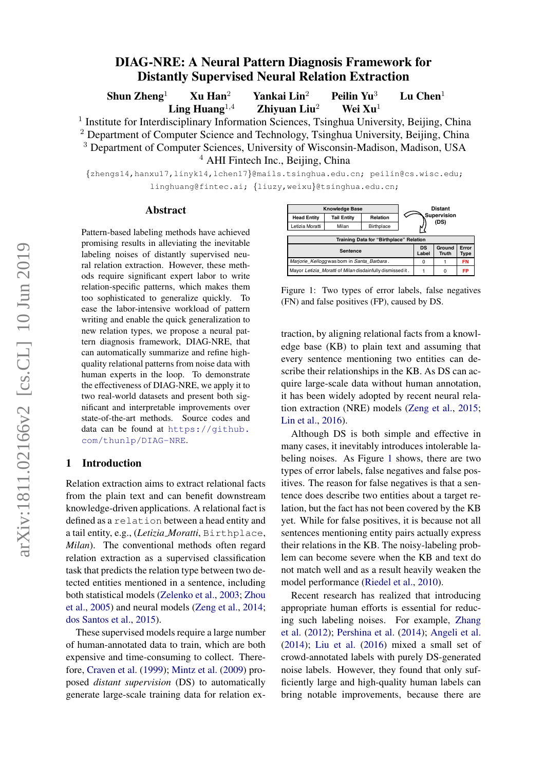# DIAG-NRE: A Neural Pattern Diagnosis Framework for Distantly Supervised Neural Relation Extraction

Shun Zheng<sup>1</sup> Xu Han<sup>2</sup> Yankai Lin<sup>2</sup> Peilin Yu<sup>3</sup> Lu Chen<sup>1</sup>

Ling Huang<sup>1,4</sup> Zhiyuan Liu<sup>2</sup> Wei Xu<sup>1</sup>

<sup>1</sup> Institute for Interdisciplinary Information Sciences, Tsinghua University, Beijing, China <sup>2</sup> Department of Computer Science and Technology, Tsinghua University, Beijing, China <sup>3</sup> Department of Computer Sciences, University of Wisconsin-Madison, Madison, USA

<sup>4</sup> AHI Fintech Inc., Beijing, China

{zhengs14,hanxu17,linyk14,lchen17}@mails.tsinghua.edu.cn; peilin@cs.wisc.edu; linghuang@fintec.ai; {liuzy,weixu}@tsinghua.edu.cn;

#### Abstract

Pattern-based labeling methods have achieved promising results in alleviating the inevitable labeling noises of distantly supervised neural relation extraction. However, these methods require significant expert labor to write relation-specific patterns, which makes them too sophisticated to generalize quickly. To ease the labor-intensive workload of pattern writing and enable the quick generalization to new relation types, we propose a neural pattern diagnosis framework, DIAG-NRE, that can automatically summarize and refine highquality relational patterns from noise data with human experts in the loop. To demonstrate the effectiveness of DIAG-NRE, we apply it to two real-world datasets and present both significant and interpretable improvements over state-of-the-art methods. Source codes and data can be found at [https://github.](https://github.com/thunlp/DIAG-NRE) [com/thunlp/DIAG-NRE](https://github.com/thunlp/DIAG-NRE).

### 1 Introduction

Relation extraction aims to extract relational facts from the plain text and can benefit downstream knowledge-driven applications. A relational fact is defined as a relation between a head entity and a tail entity, e.g., (*Letizia Moratti*, Birthplace, *Milan*). The conventional methods often regard relation extraction as a supervised classification task that predicts the relation type between two detected entities mentioned in a sentence, including both statistical models [\(Zelenko et al.,](#page-9-0) [2003;](#page-9-0) [Zhou](#page-9-1) [et al.,](#page-9-1) [2005\)](#page-9-1) and neural models [\(Zeng et al.,](#page-9-2) [2014;](#page-9-2) [dos Santos et al.,](#page-9-3) [2015\)](#page-9-3).

These supervised models require a large number of human-annotated data to train, which are both expensive and time-consuming to collect. Therefore, [Craven et al.](#page-8-0) [\(1999\)](#page-8-0); [Mintz et al.](#page-8-1) [\(2009\)](#page-8-1) proposed *distant supervision* (DS) to automatically generate large-scale training data for relation ex-

<span id="page-0-0"></span>

Figure 1: Two types of error labels, false negatives (FN) and false positives (FP), caused by DS.

traction, by aligning relational facts from a knowledge base (KB) to plain text and assuming that every sentence mentioning two entities can describe their relationships in the KB. As DS can acquire large-scale data without human annotation, it has been widely adopted by recent neural relation extraction (NRE) models [\(Zeng et al.,](#page-9-4) [2015;](#page-9-4) [Lin et al.,](#page-8-2) [2016\)](#page-8-2).

Although DS is both simple and effective in many cases, it inevitably introduces intolerable labeling noises. As Figure [1](#page-0-0) shows, there are two types of error labels, false negatives and false positives. The reason for false negatives is that a sentence does describe two entities about a target relation, but the fact has not been covered by the KB yet. While for false positives, it is because not all sentences mentioning entity pairs actually express their relations in the KB. The noisy-labeling problem can become severe when the KB and text do not match well and as a result heavily weaken the model performance [\(Riedel et al.,](#page-9-5) [2010\)](#page-9-5).

Recent research has realized that introducing appropriate human efforts is essential for reducing such labeling noises. For example, [Zhang](#page-9-6) [et al.](#page-9-6) [\(2012\)](#page-9-6); [Pershina et al.](#page-9-7) [\(2014\)](#page-9-7); [Angeli et al.](#page-8-3) [\(2014\)](#page-8-3); [Liu et al.](#page-8-4) [\(2016\)](#page-8-4) mixed a small set of crowd-annotated labels with purely DS-generated noise labels. However, they found that only sufficiently large and high-quality human labels can bring notable improvements, because there are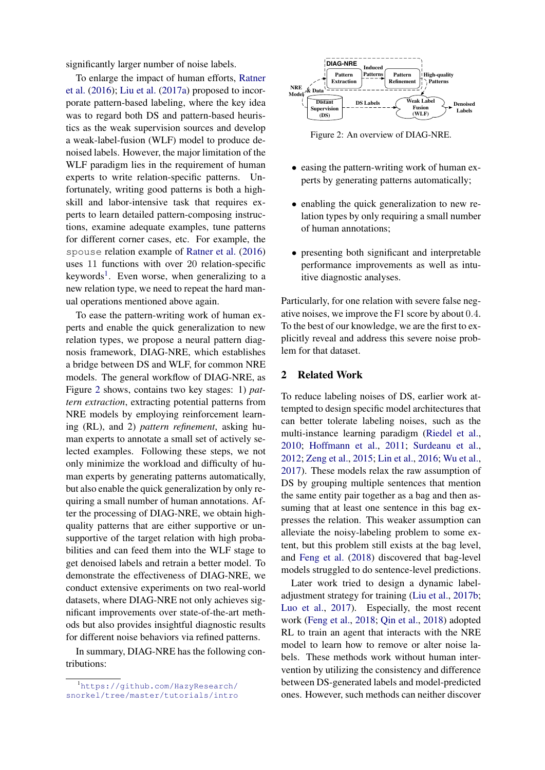significantly larger number of noise labels.

To enlarge the impact of human efforts, [Ratner](#page-9-8) [et al.](#page-9-8) [\(2016\)](#page-9-8); [Liu et al.](#page-8-5) [\(2017a\)](#page-8-5) proposed to incorporate pattern-based labeling, where the key idea was to regard both DS and pattern-based heuristics as the weak supervision sources and develop a weak-label-fusion (WLF) model to produce denoised labels. However, the major limitation of the WLF paradigm lies in the requirement of human experts to write relation-specific patterns. Unfortunately, writing good patterns is both a highskill and labor-intensive task that requires experts to learn detailed pattern-composing instructions, examine adequate examples, tune patterns for different corner cases, etc. For example, the spouse relation example of [Ratner et al.](#page-9-8) [\(2016\)](#page-9-8) uses 11 functions with over 20 relation-specific keywords<sup>[1](#page-1-0)</sup>. Even worse, when generalizing to a new relation type, we need to repeat the hard manual operations mentioned above again.

To ease the pattern-writing work of human experts and enable the quick generalization to new relation types, we propose a neural pattern diagnosis framework, DIAG-NRE, which establishes a bridge between DS and WLF, for common NRE models. The general workflow of DIAG-NRE, as Figure [2](#page-1-1) shows, contains two key stages: 1) *pattern extraction*, extracting potential patterns from NRE models by employing reinforcement learning (RL), and 2) *pattern refinement*, asking human experts to annotate a small set of actively selected examples. Following these steps, we not only minimize the workload and difficulty of human experts by generating patterns automatically, but also enable the quick generalization by only requiring a small number of human annotations. After the processing of DIAG-NRE, we obtain highquality patterns that are either supportive or unsupportive of the target relation with high probabilities and can feed them into the WLF stage to get denoised labels and retrain a better model. To demonstrate the effectiveness of DIAG-NRE, we conduct extensive experiments on two real-world datasets, where DIAG-NRE not only achieves significant improvements over state-of-the-art methods but also provides insightful diagnostic results for different noise behaviors via refined patterns.

In summary, DIAG-NRE has the following contributions:

<span id="page-1-1"></span>

Figure 2: An overview of DIAG-NRE.

- easing the pattern-writing work of human experts by generating patterns automatically;
- enabling the quick generalization to new relation types by only requiring a small number of human annotations;
- presenting both significant and interpretable performance improvements as well as intuitive diagnostic analyses.

Particularly, for one relation with severe false negative noises, we improve the F1 score by about 0.4. To the best of our knowledge, we are the first to explicitly reveal and address this severe noise problem for that dataset.

## 2 Related Work

To reduce labeling noises of DS, earlier work attempted to design specific model architectures that can better tolerate labeling noises, such as the multi-instance learning paradigm [\(Riedel et al.,](#page-9-5) [2010;](#page-9-5) [Hoffmann et al.,](#page-8-6) [2011;](#page-8-6) [Surdeanu et al.,](#page-9-9) [2012;](#page-9-9) [Zeng et al.,](#page-9-4) [2015;](#page-9-4) [Lin et al.,](#page-8-2) [2016;](#page-8-2) [Wu et al.,](#page-9-10) [2017\)](#page-9-10). These models relax the raw assumption of DS by grouping multiple sentences that mention the same entity pair together as a bag and then assuming that at least one sentence in this bag expresses the relation. This weaker assumption can alleviate the noisy-labeling problem to some extent, but this problem still exists at the bag level, and [Feng et al.](#page-8-7) [\(2018\)](#page-8-7) discovered that bag-level models struggled to do sentence-level predictions.

Later work tried to design a dynamic labeladjustment strategy for training [\(Liu et al.,](#page-8-8) [2017b;](#page-8-8) [Luo et al.,](#page-8-9) [2017\)](#page-8-9). Especially, the most recent work [\(Feng et al.,](#page-8-7) [2018;](#page-8-7) [Qin et al.,](#page-9-11) [2018\)](#page-9-11) adopted RL to train an agent that interacts with the NRE model to learn how to remove or alter noise labels. These methods work without human intervention by utilizing the consistency and difference between DS-generated labels and model-predicted ones. However, such methods can neither discover

<span id="page-1-0"></span><sup>1</sup>[https://github.com/HazyResearch/](https://github.com/HazyResearch/snorkel/tree/master/tutorials/intro) [snorkel/tree/master/tutorials/intro](https://github.com/HazyResearch/snorkel/tree/master/tutorials/intro)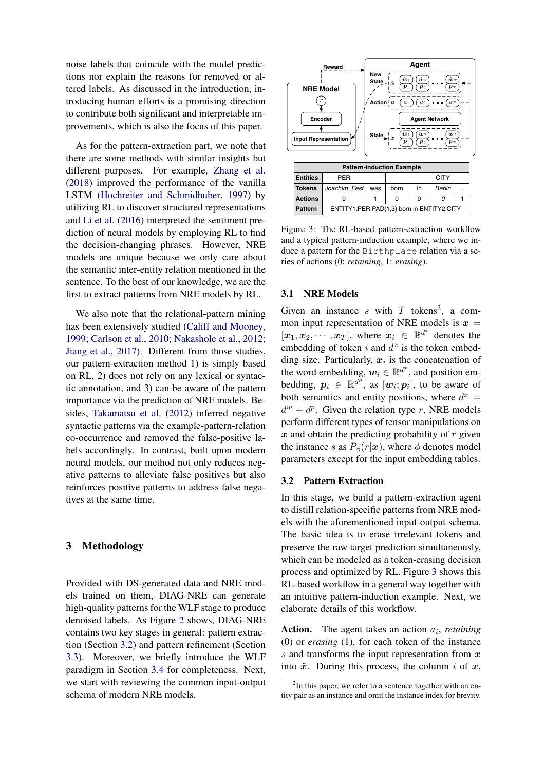noise labels that coincide with the model predictions nor explain the reasons for removed or altered labels. As discussed in the introduction, introducing human efforts is a promising direction to contribute both significant and interpretable improvements, which is also the focus of this paper.

As for the pattern-extraction part, we note that there are some methods with similar insights but different purposes. For example, [Zhang et al.](#page-9-12) [\(2018\)](#page-9-12) improved the performance of the vanilla LSTM [\(Hochreiter and Schmidhuber,](#page-8-10) [1997\)](#page-8-10) by utilizing RL to discover structured representations and [Li et al.](#page-8-11) [\(2016\)](#page-8-11) interpreted the sentiment prediction of neural models by employing RL to find the decision-changing phrases. However, NRE models are unique because we only care about the semantic inter-entity relation mentioned in the sentence. To the best of our knowledge, we are the first to extract patterns from NRE models by RL.

We also note that the relational-pattern mining has been extensively studied [\(Califf and Mooney,](#page-8-12) [1999;](#page-8-12) [Carlson et al.,](#page-8-13) [2010;](#page-8-13) [Nakashole et al.,](#page-9-13) [2012;](#page-9-13) [Jiang et al.,](#page-8-14) [2017\)](#page-8-14). Different from those studies, our pattern-extraction method 1) is simply based on RL, 2) does not rely on any lexical or syntactic annotation, and 3) can be aware of the pattern importance via the prediction of NRE models. Besides, [Takamatsu et al.](#page-9-14) [\(2012\)](#page-9-14) inferred negative syntactic patterns via the example-pattern-relation co-occurrence and removed the false-positive labels accordingly. In contrast, built upon modern neural models, our method not only reduces negative patterns to alleviate false positives but also reinforces positive patterns to address false negatives at the same time.

### 3 Methodology

Provided with DS-generated data and NRE models trained on them, DIAG-NRE can generate high-quality patterns for the WLF stage to produce denoised labels. As Figure [2](#page-1-1) shows, DIAG-NRE contains two key stages in general: pattern extraction (Section [3.2\)](#page-2-0) and pattern refinement (Section [3.3\)](#page-4-0). Moreover, we briefly introduce the WLF paradigm in Section [3.4](#page-4-1) for completeness. Next, we start with reviewing the common input-output schema of modern NRE models.

<span id="page-2-2"></span>

Figure 3: The RL-based pattern-extraction workflow and a typical pattern-induction example, where we induce a pattern for the Birthplace relation via a series of actions (0: *retaining*, 1: *erasing*).

#### 3.1 NRE Models

Given an instance s with  $T$  tokens<sup>[2](#page-2-1)</sup>, a common input representation of NRE models is  $x =$  $[x_1, x_2, \cdots, x_T]$ , where  $x_i \in \mathbb{R}^{d^x}$  denotes the embedding of token i and  $d^x$  is the token embedding size. Particularly,  $x_i$  is the concatenation of the word embedding,  $w_i \in \mathbb{R}^{d^x}$ , and position embedding,  $p_i \in \mathbb{R}^{d^p}$ , as  $[w_i; p_i]$ , to be aware of both semantics and entity positions, where  $d^x =$  $d^w + d^p$ . Given the relation type r, NRE models perform different types of tensor manipulations on  $x$  and obtain the predicting probability of  $r$  given the instance s as  $P_{\phi}(r|\mathbf{x})$ , where  $\phi$  denotes model parameters except for the input embedding tables.

### <span id="page-2-0"></span>3.2 Pattern Extraction

In this stage, we build a pattern-extraction agent to distill relation-specific patterns from NRE models with the aforementioned input-output schema. The basic idea is to erase irrelevant tokens and preserve the raw target prediction simultaneously, which can be modeled as a token-erasing decision process and optimized by RL. Figure [3](#page-2-2) shows this RL-based workflow in a general way together with an intuitive pattern-induction example. Next, we elaborate details of this workflow.

**Action.** The agent takes an action  $a_i$ , *retaining* (0) or *erasing* (1), for each token of the instance  $s$  and transforms the input representation from  $x$ into  $\hat{x}$ . During this process, the column i of x,

<span id="page-2-1"></span> $2$ In this paper, we refer to a sentence together with an entity pair as an instance and omit the instance index for brevity.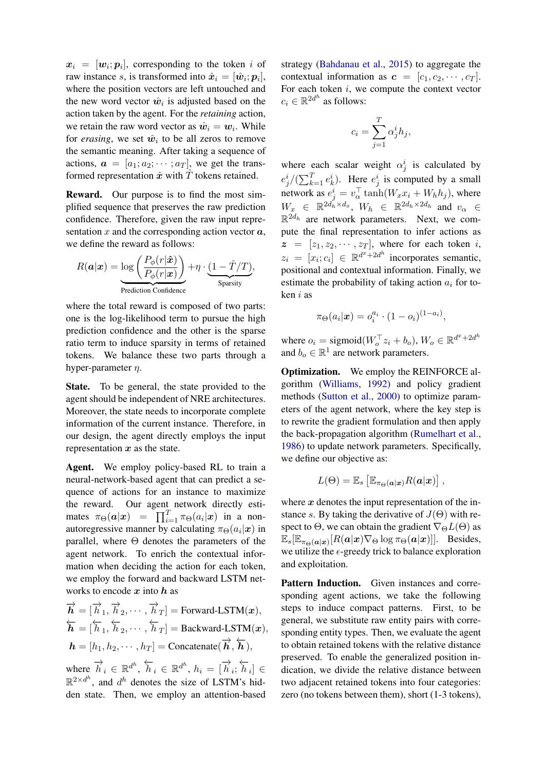$\boldsymbol{x}_i = [\boldsymbol{w}_i; \boldsymbol{p}_i],$  corresponding to the token  $i$  of raw instance s, is transformed into  $\hat{x}_i = [\hat{w}_i; p_i]$ , where the position vectors are left untouched and the new word vector  $\hat{w}_i$  is adjusted based on the action taken by the agent. For the *retaining* action, we retain the raw word vector as  $\hat{w}_i = w_i$ . While for *erasing*, we set  $\hat{w}_i$  to be all zeros to remove the semantic meaning. After taking a sequence of actions,  $\mathbf{a} = [a_1; a_2; \cdots; a_T]$ , we get the transformed representation  $\hat{x}$  with  $\hat{T}$  tokens retained.

Reward. Our purpose is to find the most simplified sequence that preserves the raw prediction confidence. Therefore, given the raw input representation  $x$  and the corresponding action vector  $a$ , we define the reward as follows:

$$
R(\boldsymbol{a}|\boldsymbol{x}) = \underbrace{\log\left(\frac{P_{\phi}(r|\hat{\boldsymbol{x}})}{P_{\phi}(r|\boldsymbol{x})}\right)}_{\text{Predictive}} + \eta \cdot \underbrace{(1 - \hat{T}/T)}_{\text{Sparsity}},
$$

where the total reward is composed of two parts: one is the log-likelihood term to pursue the high prediction confidence and the other is the sparse ratio term to induce sparsity in terms of retained tokens. We balance these two parts through a hyper-parameter  $\eta$ .

State. To be general, the state provided to the agent should be independent of NRE architectures. Moreover, the state needs to incorporate complete information of the current instance. Therefore, in our design, the agent directly employs the input representation  $x$  as the state.

Agent. We employ policy-based RL to train a neural-network-based agent that can predict a sequence of actions for an instance to maximize the reward. Our agent network directly estimates  $\pi_{\Theta}(\boldsymbol{a}|\boldsymbol{x}) = \prod_{i=1}^{T} \pi_{\Theta}(a_i|\boldsymbol{x})$  in a nonautoregressive manner by calculating  $\pi_{\Theta}(a_i|\mathbf{x})$  in parallel, where  $\Theta$  denotes the parameters of the agent network. To enrich the contextual information when deciding the action for each token, we employ the forward and backward LSTM networks to encode  $x$  into  $h$  as

$$
\overrightarrow{\boldsymbol{h}} = [\overrightarrow{h}_1, \overrightarrow{h}_2, \cdots, \overrightarrow{h}_T] = \text{Forward-LSTM}(\boldsymbol{x}),
$$
  
\n
$$
\overleftarrow{\boldsymbol{h}} = [\overleftarrow{h}_1, \overleftarrow{h}_2, \cdots, \overleftarrow{h}_T] = \text{Backward-LSTM}(\boldsymbol{x}),
$$
  
\n
$$
\boldsymbol{h} = [h_1, h_2, \cdots, h_T] = \text{Concatenate}(\overrightarrow{\boldsymbol{h}}, \overleftarrow{\boldsymbol{h}}),
$$

where  $\overrightarrow{h}_i \in \mathbb{R}^{d^h}$ ,  $\overleftarrow{h}_i \in \mathbb{R}^{d^h}$ ,  $h_i = [\overrightarrow{h}_i;$ ←−  $[h_i] \in$  $\mathbb{R}^{2 \times d^h}$ , and  $d^h$  denotes the size of LSTM's hidden state. Then, we employ an attention-based strategy [\(Bahdanau et al.,](#page-8-15) [2015\)](#page-8-15) to aggregate the contextual information as  $\mathbf{c} = [c_1, c_2, \cdots, c_T]$ . For each token  $i$ , we compute the context vector  $c_i \in \mathbb{R}^{2d^h}$  as follows:

$$
c_i = \sum_{j=1}^{T} \alpha_j^i h_j,
$$

where each scalar weight  $\alpha_j^i$  is calculated by  $e_j^i/(\sum_{k=1}^T e_k^i)$ . Here  $e_j^i$  is computed by a small network as  $e_j^i = v_\alpha^\top \tanh(W_x x_i + W_h h_j)$ , where  $W_x \in \mathbb{R}^{2d_h \times d_x}$ ,  $W_h \in \mathbb{R}^{2d_h \times 2d_h}$  and  $v_\alpha \in$  $\mathbb{R}^{2d_h}$  are network parameters. Next, we compute the final representation to infer actions as  $z = [z_1, z_2, \cdots, z_T]$ , where for each token i,  $z_i = [x_i; c_i] \in \mathbb{R}^{d^x + 2d^h}$  incorporates semantic, positional and contextual information. Finally, we estimate the probability of taking action  $a_i$  for token i as

$$
\pi_{\Theta}(a_i|\boldsymbol{x}) = o_i^{a_i} \cdot (1 - o_i)^{(1 - a_i)},
$$

where  $o_i = \text{sigmoid}(W_o^{\top} z_i + b_o)$ ,  $W_o \in \mathbb{R}^{d^x + 2d^h}$ and  $b_o \in \mathbb{R}^1$  are network parameters.

Optimization. We employ the REINFORCE algorithm [\(Williams,](#page-9-15) [1992\)](#page-9-15) and policy gradient methods [\(Sutton et al.,](#page-9-16) [2000\)](#page-9-16) to optimize parameters of the agent network, where the key step is to rewrite the gradient formulation and then apply the back-propagation algorithm [\(Rumelhart et al.,](#page-9-17) [1986\)](#page-9-17) to update network parameters. Specifically, we define our objective as:

$$
L(\Theta) = \mathbb{E}_s \left[ \mathbb{E}_{\pi_{\Theta}(\boldsymbol{a}|\boldsymbol{x})} R(\boldsymbol{a}|\boldsymbol{x}) \right],
$$

where  $x$  denotes the input representation of the instance s. By taking the derivative of  $J(\Theta)$  with respect to  $\Theta$ , we can obtain the gradient  $\nabla_{\Theta}L(\Theta)$  as  $\mathbb{E}_s[\mathbb{E}_{\pi_{\Theta}(\boldsymbol{a}|\boldsymbol{x})}[R(\boldsymbol{a}|\boldsymbol{x})\nabla_{\Theta}\log\pi_{\Theta}(\boldsymbol{a}|\boldsymbol{x})]].$  Besides, we utilize the  $\epsilon$ -greedy trick to balance exploration and exploitation.

Pattern Induction. Given instances and corresponding agent actions, we take the following steps to induce compact patterns. First, to be general, we substitute raw entity pairs with corresponding entity types. Then, we evaluate the agent to obtain retained tokens with the relative distance preserved. To enable the generalized position indication, we divide the relative distance between two adjacent retained tokens into four categories: zero (no tokens between them), short (1-3 tokens),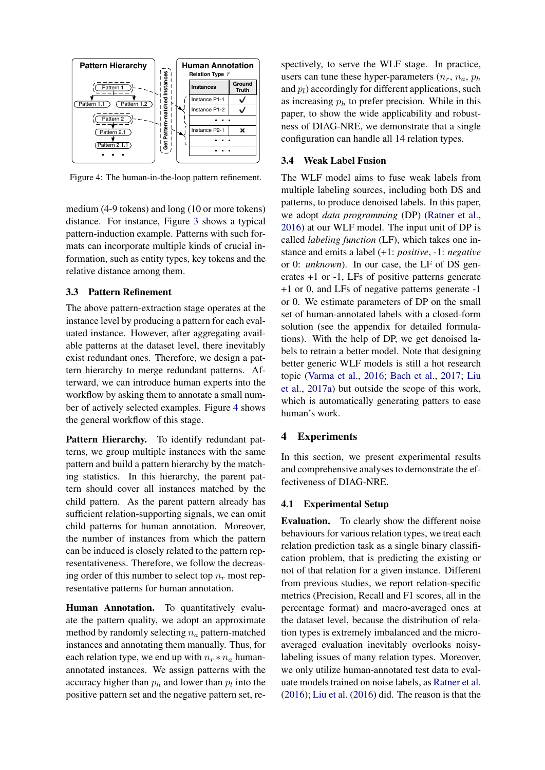<span id="page-4-2"></span>

Figure 4: The human-in-the-loop pattern refinement.

medium (4-9 tokens) and long (10 or more tokens) distance. For instance, Figure [3](#page-2-2) shows a typical pattern-induction example. Patterns with such formats can incorporate multiple kinds of crucial information, such as entity types, key tokens and the relative distance among them.

### <span id="page-4-0"></span>3.3 Pattern Refinement

The above pattern-extraction stage operates at the instance level by producing a pattern for each evaluated instance. However, after aggregating available patterns at the dataset level, there inevitably exist redundant ones. Therefore, we design a pattern hierarchy to merge redundant patterns. Afterward, we can introduce human experts into the workflow by asking them to annotate a small number of actively selected examples. Figure [4](#page-4-2) shows the general workflow of this stage.

Pattern Hierarchy. To identify redundant patterns, we group multiple instances with the same pattern and build a pattern hierarchy by the matching statistics. In this hierarchy, the parent pattern should cover all instances matched by the child pattern. As the parent pattern already has sufficient relation-supporting signals, we can omit child patterns for human annotation. Moreover, the number of instances from which the pattern can be induced is closely related to the pattern representativeness. Therefore, we follow the decreasing order of this number to select top  $n_r$  most representative patterns for human annotation.

Human Annotation. To quantitatively evaluate the pattern quality, we adopt an approximate method by randomly selecting  $n_a$  pattern-matched instances and annotating them manually. Thus, for each relation type, we end up with  $n_r * n_a$  humanannotated instances. We assign patterns with the accuracy higher than  $p_h$  and lower than  $p_l$  into the positive pattern set and the negative pattern set, respectively, to serve the WLF stage. In practice, users can tune these hyper-parameters  $(n_r, n_a, p_h)$ and  $p_l$ ) accordingly for different applications, such as increasing  $p_h$  to prefer precision. While in this paper, to show the wide applicability and robustness of DIAG-NRE, we demonstrate that a single configuration can handle all 14 relation types.

### <span id="page-4-1"></span>3.4 Weak Label Fusion

The WLF model aims to fuse weak labels from multiple labeling sources, including both DS and patterns, to produce denoised labels. In this paper, we adopt *data programming* (DP) [\(Ratner et al.,](#page-9-8) [2016\)](#page-9-8) at our WLF model. The input unit of DP is called *labeling function* (LF), which takes one instance and emits a label (+1: *positive*, -1: *negative* or 0: *unknown*). In our case, the LF of DS generates +1 or -1, LFs of positive patterns generate +1 or 0, and LFs of negative patterns generate -1 or 0. We estimate parameters of DP on the small set of human-annotated labels with a closed-form solution (see the appendix for detailed formulations). With the help of DP, we get denoised labels to retrain a better model. Note that designing better generic WLF models is still a hot research topic [\(Varma et al.,](#page-9-18) [2016;](#page-9-18) [Bach et al.,](#page-8-16) [2017;](#page-8-16) [Liu](#page-8-5) [et al.,](#page-8-5) [2017a\)](#page-8-5) but outside the scope of this work, which is automatically generating patters to ease human's work.

### 4 Experiments

In this section, we present experimental results and comprehensive analyses to demonstrate the effectiveness of DIAG-NRE.

### 4.1 Experimental Setup

Evaluation. To clearly show the different noise behaviours for various relation types, we treat each relation prediction task as a single binary classification problem, that is predicting the existing or not of that relation for a given instance. Different from previous studies, we report relation-specific metrics (Precision, Recall and F1 scores, all in the percentage format) and macro-averaged ones at the dataset level, because the distribution of relation types is extremely imbalanced and the microaveraged evaluation inevitably overlooks noisylabeling issues of many relation types. Moreover, we only utilize human-annotated test data to evaluate models trained on noise labels, as [Ratner et al.](#page-9-8) [\(2016\)](#page-9-8); [Liu et al.](#page-8-4) [\(2016\)](#page-8-4) did. The reason is that the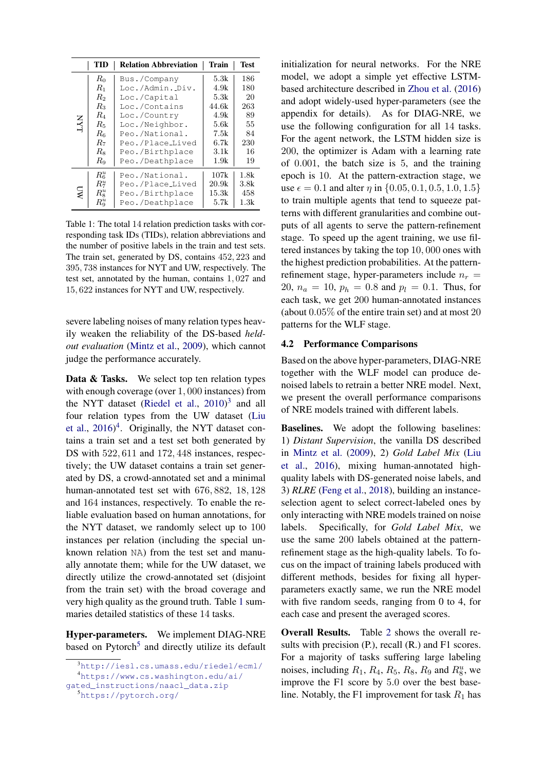<span id="page-5-2"></span>

|     | TID                | <b>Relation Abbreviation</b> | Train | Test |
|-----|--------------------|------------------------------|-------|------|
| IYY | $R_0$              | Bus./Company                 | 5.3k  | 186  |
|     | $R_{1}$            | Loc./Admin. Div.             | 4.9k  | 180  |
|     | R <sub>2</sub>     | Loc./Capital                 | 5.3k  | 20   |
|     | $R_3$              | Loc./Contains                | 44.6k | 263  |
|     | $R_4$              | Loc./Country                 | 4.9k  | 89   |
|     | $R_5$              | Loc./Neighbor.               | 5.6k  | 55   |
|     | $R_6$              | Peo./National.               | 7.5k  | 84   |
|     | $R_7$              | Peo./Place_Lived             | 6.7k  | 230  |
|     | $R_8$              | Peo./Birthplace              | 3.1k  | 16   |
|     | Ra                 | Peo./Deathplace              | 1.9k  | 19   |
| Μ   | $R_6^u$            | Peo./National.               | 107k  | 1.8k |
|     | $R_7^u$            | Peo./Place_Lived             | 20.9k | 3.8k |
|     | $R^u_8$            | Peo./Birthplace              | 15.3k | 458  |
|     | $R^u_{\mathrm{o}}$ | Peo./Deathplace              | 5.7k  | 1.3k |

Table 1: The total 14 relation prediction tasks with corresponding task IDs (TIDs), relation abbreviations and the number of positive labels in the train and test sets. The train set, generated by DS, contains 452, 223 and 395, 738 instances for NYT and UW, respectively. The test set, annotated by the human, contains 1, 027 and 15, 622 instances for NYT and UW, respectively.

severe labeling noises of many relation types heavily weaken the reliability of the DS-based *heldout evaluation* [\(Mintz et al.,](#page-8-1) [2009\)](#page-8-1), which cannot judge the performance accurately.

Data & Tasks. We select top ten relation types with enough coverage (over 1, 000 instances) from the NYT dataset [\(Riedel et al.,](#page-9-5)  $2010$ )<sup>[3](#page-5-0)</sup> and all four relation types from the UW dataset [\(Liu](#page-8-4) [et al.,](#page-8-4)  $2016)^4$  $2016)^4$  $2016)^4$ . Originally, the NYT dataset contains a train set and a test set both generated by DS with  $522,611$  and  $172,448$  instances, respectively; the UW dataset contains a train set generated by DS, a crowd-annotated set and a minimal human-annotated test set with 676, 882, 18, 128 and 164 instances, respectively. To enable the reliable evaluation based on human annotations, for the NYT dataset, we randomly select up to 100 instances per relation (including the special unknown relation NA) from the test set and manually annotate them; while for the UW dataset, we directly utilize the crowd-annotated set (disjoint from the train set) with the broad coverage and very high quality as the ground truth. Table [1](#page-5-2) summaries detailed statistics of these 14 tasks.

Hyper-parameters. We implement DIAG-NRE based on Pytorch<sup>[5](#page-5-3)</sup> and directly utilize its default

<span id="page-5-3"></span><sup>5</sup><https://pytorch.org/>

initialization for neural networks. For the NRE model, we adopt a simple yet effective LSTMbased architecture described in [Zhou et al.](#page-9-19) [\(2016\)](#page-9-19) and adopt widely-used hyper-parameters (see the appendix for details). As for DIAG-NRE, we use the following configuration for all 14 tasks. For the agent network, the LSTM hidden size is 200, the optimizer is Adam with a learning rate of 0.001, the batch size is 5, and the training epoch is 10. At the pattern-extraction stage, we use  $\epsilon = 0.1$  and alter  $\eta$  in  $\{0.05, 0.1, 0.5, 1.0, 1.5\}$ to train multiple agents that tend to squeeze patterns with different granularities and combine outputs of all agents to serve the pattern-refinement stage. To speed up the agent training, we use filtered instances by taking the top 10, 000 ones with the highest prediction probabilities. At the patternrefinement stage, hyper-parameters include  $n_r =$ 20,  $n_a = 10$ ,  $p_h = 0.8$  and  $p_l = 0.1$ . Thus, for each task, we get 200 human-annotated instances (about 0.05% of the entire train set) and at most 20 patterns for the WLF stage.

#### 4.2 Performance Comparisons

Based on the above hyper-parameters, DIAG-NRE together with the WLF model can produce denoised labels to retrain a better NRE model. Next, we present the overall performance comparisons of NRE models trained with different labels.

Baselines. We adopt the following baselines: 1) *Distant Supervision*, the vanilla DS described in [Mintz et al.](#page-8-1) [\(2009\)](#page-8-1), 2) *Gold Label Mix* [\(Liu](#page-8-4) [et al.,](#page-8-4) [2016\)](#page-8-4), mixing human-annotated highquality labels with DS-generated noise labels, and 3) *RLRE* [\(Feng et al.,](#page-8-7) [2018\)](#page-8-7), building an instanceselection agent to select correct-labeled ones by only interacting with NRE models trained on noise labels. Specifically, for *Gold Label Mix*, we use the same 200 labels obtained at the patternrefinement stage as the high-quality labels. To focus on the impact of training labels produced with different methods, besides for fixing all hyperparameters exactly same, we run the NRE model with five random seeds, ranging from 0 to 4, for each case and present the averaged scores.

Overall Results. Table [2](#page-6-0) shows the overall results with precision (P.), recall (R.) and F1 scores. For a majority of tasks suffering large labeling noises, including  $R_1$ ,  $R_4$ ,  $R_5$ ,  $R_8$ ,  $R_9$  and  $R_8^u$ , we improve the F1 score by 5.0 over the best baseline. Notably, the F1 improvement for task  $R_1$  has

<span id="page-5-1"></span><span id="page-5-0"></span><sup>3</sup><http://iesl.cs.umass.edu/riedel/ecml/> <sup>4</sup>[https://www.cs.washington.edu/ai/](https://www.cs.washington.edu/ai/gated_instructions/naacl_data.zip)

[gated\\_instructions/naacl\\_data.zip](https://www.cs.washington.edu/ai/gated_instructions/naacl_data.zip)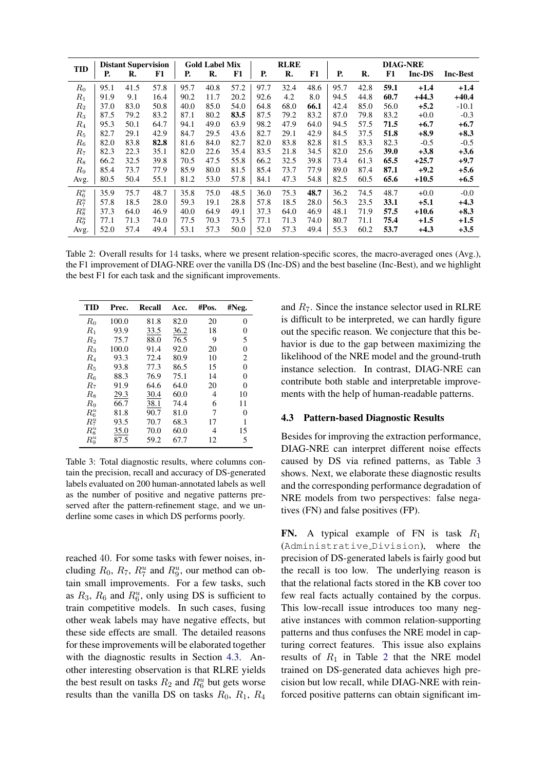<span id="page-6-0"></span>

|                    | <b>Distant Supervision</b><br><b>TID</b> |      | <b>Gold Label Mix</b> |      |      | <b>RLRE</b> |      |      | <b>DIAG-NRE</b> |           |      |      |         |                 |
|--------------------|------------------------------------------|------|-----------------------|------|------|-------------|------|------|-----------------|-----------|------|------|---------|-----------------|
|                    | Р.                                       | R.   | F1                    | Р.   | R.   | F1          | Р.   | R.   | F1              | <b>P.</b> | R.   | F1   | Inc-DS  | <b>Inc-Best</b> |
| $R_0$              | 95.1                                     | 41.5 | 57.8                  | 95.7 | 40.8 | 57.2        | 97.7 | 32.4 | 48.6            | 95.7      | 42.8 | 59.1 | $+1.4$  | $+1.4$          |
| $R_1$              | 91.9                                     | 9.1  | 16.4                  | 90.2 | 11.7 | 20.2        | 92.6 | 4.2  | 8.0             | 94.5      | 44.8 | 60.7 | $+44.3$ | $+40.4$         |
| $\scriptstyle R_2$ | 37.0                                     | 83.0 | 50.8                  | 40.0 | 85.0 | 54.0        | 64.8 | 68.0 | 66.1            | 42.4      | 85.0 | 56.0 | $+5.2$  | $-10.1$         |
| $R_{3}$            | 87.5                                     | 79.2 | 83.2                  | 87.1 | 80.2 | 83.5        | 87.5 | 79.2 | 83.2            | 87.0      | 79.8 | 83.2 | $+0.0$  | $-0.3$          |
| $R_4$              | 95.3                                     | 50.1 | 64.7                  | 94.1 | 49.0 | 63.9        | 98.2 | 47.9 | 64.0            | 94.5      | 57.5 | 71.5 | $+6.7$  | $+6.7$          |
| $R_{\rm 5}$        | 82.7                                     | 29.1 | 42.9                  | 84.7 | 29.5 | 43.6        | 82.7 | 29.1 | 42.9            | 84.5      | 37.5 | 51.8 | $+8.9$  | $+8.3$          |
| $R_{\rm 6}$        | 82.0                                     | 83.8 | 82.8                  | 81.6 | 84.0 | 82.7        | 82.0 | 83.8 | 82.8            | 81.5      | 83.3 | 82.3 | $-0.5$  | $-0.5$          |
| $R_7$              | 82.3                                     | 22.3 | 35.1                  | 82.0 | 22.6 | 35.4        | 83.5 | 21.8 | 34.5            | 82.0      | 25.6 | 39.0 | $+3.8$  | $+3.6$          |
| $R_8$              | 66.2                                     | 32.5 | 39.8                  | 70.5 | 47.5 | 55.8        | 66.2 | 32.5 | 39.8            | 73.4      | 61.3 | 65.5 | $+25.7$ | $+9.7$          |
| R9                 | 85.4                                     | 73.7 | 77.9                  | 85.9 | 80.0 | 81.5        | 85.4 | 73.7 | 77.9            | 89.0      | 87.4 | 87.1 | $+9.2$  | $+5.6$          |
| Avg.               | 80.5                                     | 50.4 | 55.1                  | 81.2 | 53.0 | 57.8        | 84.1 | 47.3 | 54.8            | 82.5      | 60.5 | 65.6 | $+10.5$ | $+6.5$          |
| $R_6^u$            | 35.9                                     | 75.7 | 48.7                  | 35.8 | 75.0 | 48.5        | 36.0 | 75.3 | 48.7            | 36.2      | 74.5 | 48.7 | $+0.0$  | $-0.0$          |
| $R_7^u$            | 57.8                                     | 18.5 | 28.0                  | 59.3 | 19.1 | 28.8        | 57.8 | 18.5 | 28.0            | 56.3      | 23.5 | 33.1 | $+5.1$  | $+4.3$          |
| $R_8^u$            | 37.3                                     | 64.0 | 46.9                  | 40.0 | 64.9 | 49.1        | 37.3 | 64.0 | 46.9            | 48.1      | 71.9 | 57.5 | $+10.6$ | $+8.3$          |
| $R_9^u$            | 77.1                                     | 71.3 | 74.0                  | 77.5 | 70.3 | 73.5        | 77.1 | 71.3 | 74.0            | 80.7      | 71.1 | 75.4 | $+1.5$  | $+1.5$          |
| Avg.               | 52.0                                     | 57.4 | 49.4                  | 53.1 | 57.3 | 50.0        | 52.0 | 57.3 | 49.4            | 55.3      | 60.2 | 53.7 | $+4.3$  | $+3.5$          |

Table 2: Overall results for 14 tasks, where we present relation-specific scores, the macro-averaged ones (Avg.), the F1 improvement of DIAG-NRE over the vanilla DS (Inc-DS) and the best baseline (Inc-Best), and we highlight the best F1 for each task and the significant improvements.

<span id="page-6-2"></span>

| <b>TID</b> | Prec. | Recall | Acc. | #Pos. | #Neg. |
|------------|-------|--------|------|-------|-------|
| $R_0$      | 100.0 | 81.8   | 82.0 | 20    | 0     |
| $R_1$      | 93.9  | 33.5   | 36.2 | 18    | 0     |
| $R_2$      | 75.7  | 88.0   | 76.5 | 9     | 5     |
| $R_3$      | 100.0 | 91.4   | 92.0 | 20    | 0     |
| $R_{4}$    | 93.3  | 72.4   | 80.9 | 10    | 2     |
| $R_5$      | 93.8  | 77.3   | 86.5 | 15    | 0     |
| $R_6$      | 88.3  | 76.9   | 75.1 | 14    | 0     |
| $R_7$      | 91.9  | 64.6   | 64.0 | 20    | 0     |
| $R_8$      | 29.3  | 30.4   | 60.0 | 4     | 10    |
| $R_{9}$    | 66.7  | 38.1   | 74.4 | 6     | 11    |
| $R_6^u$    | 81.8  | 90.7   | 81.0 | 7     | 0     |
| $R_7^u$    | 93.5  | 70.7   | 68.3 | 17    | 1     |
| $R^u_8$    | 35.0  | 70.0   | 60.0 | 4     | 15    |
| $R_9^u$    | 87.5  | 59.2   | 67.7 | 12    | 5     |

Table 3: Total diagnostic results, where columns contain the precision, recall and accuracy of DS-generated labels evaluated on 200 human-annotated labels as well as the number of positive and negative patterns preserved after the pattern-refinement stage, and we underline some cases in which DS performs poorly.

reached 40. For some tasks with fewer noises, including  $R_0$ ,  $R_7$ ,  $R_7^u$  and  $R_9^u$ , our method can obtain small improvements. For a few tasks, such as  $R_3$ ,  $R_6$  and  $R_6^u$ , only using DS is sufficient to train competitive models. In such cases, fusing other weak labels may have negative effects, but these side effects are small. The detailed reasons for these improvements will be elaborated together with the diagnostic results in Section [4.3.](#page-6-1) Another interesting observation is that RLRE yields the best result on tasks  $R_2$  and  $R_6^u$  but gets worse results than the vanilla DS on tasks  $R_0$ ,  $R_1$ ,  $R_4$  and  $R_7$ . Since the instance selector used in RLRE is difficult to be interpreted, we can hardly figure out the specific reason. We conjecture that this behavior is due to the gap between maximizing the likelihood of the NRE model and the ground-truth instance selection. In contrast, DIAG-NRE can contribute both stable and interpretable improvements with the help of human-readable patterns.

#### <span id="page-6-1"></span>4.3 Pattern-based Diagnostic Results

Besides for improving the extraction performance, DIAG-NRE can interpret different noise effects caused by DS via refined patterns, as Table [3](#page-6-2) shows. Next, we elaborate these diagnostic results and the corresponding performance degradation of NRE models from two perspectives: false negatives (FN) and false positives (FP).

FN. A typical example of FN is task  $R_1$ (Administrative Division), where the precision of DS-generated labels is fairly good but the recall is too low. The underlying reason is that the relational facts stored in the KB cover too few real facts actually contained by the corpus. This low-recall issue introduces too many negative instances with common relation-supporting patterns and thus confuses the NRE model in capturing correct features. This issue also explains results of  $R_1$  in Table [2](#page-6-0) that the NRE model trained on DS-generated data achieves high precision but low recall, while DIAG-NRE with reinforced positive patterns can obtain significant im-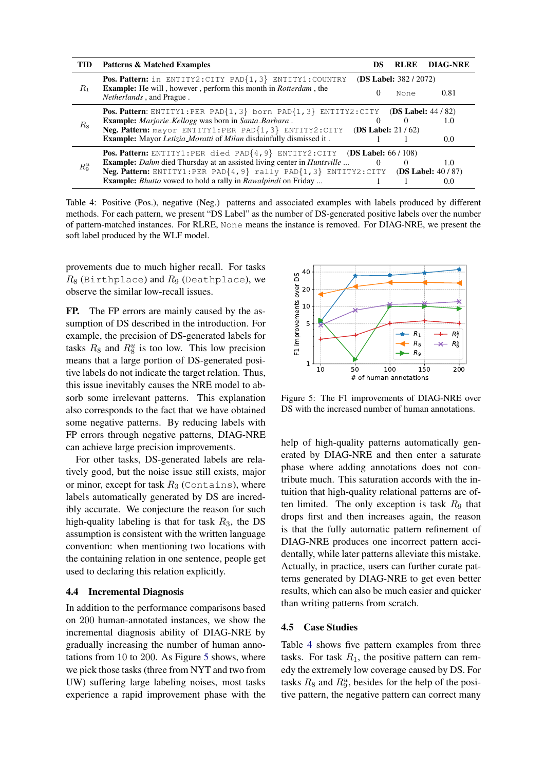<span id="page-7-1"></span>

| <b>TID</b> | <b>Patterns &amp; Matched Examples</b>                                                                     | DS                            | <b>RLRE</b> | <b>DIAG-NRE</b>      |  |
|------------|------------------------------------------------------------------------------------------------------------|-------------------------------|-------------|----------------------|--|
|            | Pos. Pattern: in ENTITY2: CITY PAD{1, 3} ENTITY1: COUNTRY                                                  | <b>(DS Label: 382 / 2072)</b> |             |                      |  |
| $R_1$      | <b>Example:</b> He will, however, perform this month in <i>Rotterdam</i> , the<br>Netherlands, and Prague. |                               | None        | 0.81                 |  |
|            | <b>Pos. Pattern:</b> ENTITY1:PER PAD $\{1, 3\}$ born PAD $\{1, 3\}$ ENTITY2:CITY (DS Label: 44/82)         |                               |             |                      |  |
| Rs         | <b>Example:</b> Marjorie_Kellogg was born in Santa_Barbara.                                                | $\theta$                      |             | 1.0                  |  |
|            | Neg. Pattern: mayor ENTITY1:PER PAD{1, 3} ENTITY2:CITY                                                     | (DS Label: $21/62$ )          |             |                      |  |
|            | <b>Example:</b> Mayor Letizia_Moratti of Milan disdainfully dismissed it.                                  |                               |             | 0.0                  |  |
|            | <b>Pos. Pattern:</b> ENTITY1:PER died PAD $\{4, 9\}$ ENTITY2:CITY (DS Label: 66/108)                       |                               |             |                      |  |
| $R_9^u$    | Example: Dahm died Thursday at an assisted living center in Huntsville                                     |                               | $\Omega$    | 1.0                  |  |
|            | Neg. Pattern: ENTITY1:PER PAD{4, 9} rally PAD{1, 3} ENTITY2:CITY                                           |                               |             | (DS Label: $40/87$ ) |  |
|            | <b>Example:</b> <i>Bhutto</i> vowed to hold a rally in <i>Rawalpindi</i> on Friday                         |                               |             | 0.0                  |  |

Table 4: Positive (Pos.), negative (Neg.) patterns and associated examples with labels produced by different methods. For each pattern, we present "DS Label" as the number of DS-generated positive labels over the number of pattern-matched instances. For RLRE, None means the instance is removed. For DIAG-NRE, we present the soft label produced by the WLF model.

provements due to much higher recall. For tasks  $R_8$  (Birthplace) and  $R_9$  (Deathplace), we observe the similar low-recall issues.

FP. The FP errors are mainly caused by the assumption of DS described in the introduction. For example, the precision of DS-generated labels for tasks  $R_8$  and  $R_8^u$  is too low. This low precision means that a large portion of DS-generated positive labels do not indicate the target relation. Thus, this issue inevitably causes the NRE model to absorb some irrelevant patterns. This explanation also corresponds to the fact that we have obtained some negative patterns. By reducing labels with FP errors through negative patterns, DIAG-NRE can achieve large precision improvements.

For other tasks, DS-generated labels are relatively good, but the noise issue still exists, major or minor, except for task  $R_3$  (Contains), where labels automatically generated by DS are incredibly accurate. We conjecture the reason for such high-quality labeling is that for task  $R_3$ , the DS assumption is consistent with the written language convention: when mentioning two locations with the containing relation in one sentence, people get used to declaring this relation explicitly.

#### 4.4 Incremental Diagnosis

In addition to the performance comparisons based on 200 human-annotated instances, we show the incremental diagnosis ability of DIAG-NRE by gradually increasing the number of human annotations from 10 to 200. As Figure [5](#page-7-0) shows, where we pick those tasks (three from NYT and two from UW) suffering large labeling noises, most tasks experience a rapid improvement phase with the

<span id="page-7-0"></span>

Figure 5: The F1 improvements of DIAG-NRE over DS with the increased number of human annotations.

help of high-quality patterns automatically generated by DIAG-NRE and then enter a saturate phase where adding annotations does not contribute much. This saturation accords with the intuition that high-quality relational patterns are often limited. The only exception is task  $R_9$  that drops first and then increases again, the reason is that the fully automatic pattern refinement of DIAG-NRE produces one incorrect pattern accidentally, while later patterns alleviate this mistake. Actually, in practice, users can further curate patterns generated by DIAG-NRE to get even better results, which can also be much easier and quicker than writing patterns from scratch.

### 4.5 Case Studies

Table [4](#page-7-1) shows five pattern examples from three tasks. For task  $R_1$ , the positive pattern can remedy the extremely low coverage caused by DS. For tasks  $R_8$  and  $R_9^u$ , besides for the help of the positive pattern, the negative pattern can correct many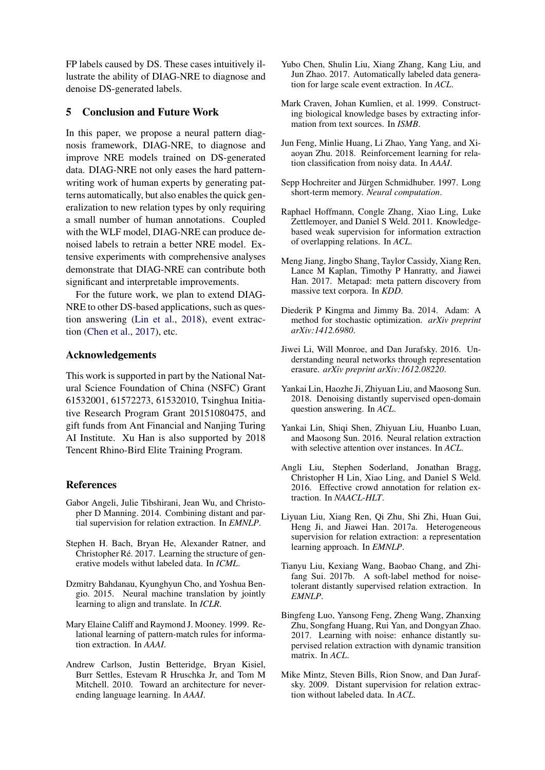FP labels caused by DS. These cases intuitively illustrate the ability of DIAG-NRE to diagnose and denoise DS-generated labels.

### 5 Conclusion and Future Work

In this paper, we propose a neural pattern diagnosis framework, DIAG-NRE, to diagnose and improve NRE models trained on DS-generated data. DIAG-NRE not only eases the hard patternwriting work of human experts by generating patterns automatically, but also enables the quick generalization to new relation types by only requiring a small number of human annotations. Coupled with the WLF model, DIAG-NRE can produce denoised labels to retrain a better NRE model. Extensive experiments with comprehensive analyses demonstrate that DIAG-NRE can contribute both significant and interpretable improvements.

For the future work, we plan to extend DIAG-NRE to other DS-based applications, such as question answering [\(Lin et al.,](#page-8-17) [2018\)](#page-8-17), event extraction [\(Chen et al.,](#page-8-18) [2017\)](#page-8-18), etc.

## Acknowledgements

This work is supported in part by the National Natural Science Foundation of China (NSFC) Grant 61532001, 61572273, 61532010, Tsinghua Initiative Research Program Grant 20151080475, and gift funds from Ant Financial and Nanjing Turing AI Institute. Xu Han is also supported by 2018 Tencent Rhino-Bird Elite Training Program.

### References

- <span id="page-8-3"></span>Gabor Angeli, Julie Tibshirani, Jean Wu, and Christopher D Manning. 2014. Combining distant and partial supervision for relation extraction. In *EMNLP*.
- <span id="page-8-16"></span>Stephen H. Bach, Bryan He, Alexander Ratner, and Christopher Ré. 2017. Learning the structure of generative models withut labeled data. In *ICML*.
- <span id="page-8-15"></span>Dzmitry Bahdanau, Kyunghyun Cho, and Yoshua Bengio. 2015. Neural machine translation by jointly learning to align and translate. In *ICLR*.
- <span id="page-8-12"></span>Mary Elaine Califf and Raymond J. Mooney. 1999. Relational learning of pattern-match rules for information extraction. In *AAAI*.
- <span id="page-8-13"></span>Andrew Carlson, Justin Betteridge, Bryan Kisiel, Burr Settles, Estevam R Hruschka Jr, and Tom M Mitchell. 2010. Toward an architecture for neverending language learning. In *AAAI*.
- <span id="page-8-18"></span>Yubo Chen, Shulin Liu, Xiang Zhang, Kang Liu, and Jun Zhao. 2017. Automatically labeled data generation for large scale event extraction. In *ACL*.
- <span id="page-8-0"></span>Mark Craven, Johan Kumlien, et al. 1999. Constructing biological knowledge bases by extracting information from text sources. In *ISMB*.
- <span id="page-8-7"></span>Jun Feng, Minlie Huang, Li Zhao, Yang Yang, and Xiaoyan Zhu. 2018. Reinforcement learning for relation classification from noisy data. In *AAAI*.
- <span id="page-8-10"></span>Sepp Hochreiter and Jürgen Schmidhuber. 1997. Long short-term memory. *Neural computation*.
- <span id="page-8-6"></span>Raphael Hoffmann, Congle Zhang, Xiao Ling, Luke Zettlemoyer, and Daniel S Weld. 2011. Knowledgebased weak supervision for information extraction of overlapping relations. In *ACL*.
- <span id="page-8-14"></span>Meng Jiang, Jingbo Shang, Taylor Cassidy, Xiang Ren, Lance M Kaplan, Timothy P Hanratty, and Jiawei Han. 2017. Metapad: meta pattern discovery from massive text corpora. In *KDD*.
- <span id="page-8-19"></span>Diederik P Kingma and Jimmy Ba. 2014. Adam: A method for stochastic optimization. *arXiv preprint arXiv:1412.6980*.
- <span id="page-8-11"></span>Jiwei Li, Will Monroe, and Dan Jurafsky. 2016. Understanding neural networks through representation erasure. *arXiv preprint arXiv:1612.08220*.
- <span id="page-8-17"></span>Yankai Lin, Haozhe Ji, Zhiyuan Liu, and Maosong Sun. 2018. Denoising distantly supervised open-domain question answering. In *ACL*.
- <span id="page-8-2"></span>Yankai Lin, Shiqi Shen, Zhiyuan Liu, Huanbo Luan, and Maosong Sun. 2016. Neural relation extraction with selective attention over instances. In *ACL*.
- <span id="page-8-4"></span>Angli Liu, Stephen Soderland, Jonathan Bragg, Christopher H Lin, Xiao Ling, and Daniel S Weld. 2016. Effective crowd annotation for relation extraction. In *NAACL-HLT*.
- <span id="page-8-5"></span>Liyuan Liu, Xiang Ren, Qi Zhu, Shi Zhi, Huan Gui, Heng Ji, and Jiawei Han. 2017a. Heterogeneous supervision for relation extraction: a representation learning approach. In *EMNLP*.
- <span id="page-8-8"></span>Tianyu Liu, Kexiang Wang, Baobao Chang, and Zhifang Sui. 2017b. A soft-label method for noisetolerant distantly supervised relation extraction. In *EMNLP*.
- <span id="page-8-9"></span>Bingfeng Luo, Yansong Feng, Zheng Wang, Zhanxing Zhu, Songfang Huang, Rui Yan, and Dongyan Zhao. 2017. Learning with noise: enhance distantly supervised relation extraction with dynamic transition matrix. In *ACL*.
- <span id="page-8-1"></span>Mike Mintz, Steven Bills, Rion Snow, and Dan Jurafsky. 2009. Distant supervision for relation extraction without labeled data. In *ACL*.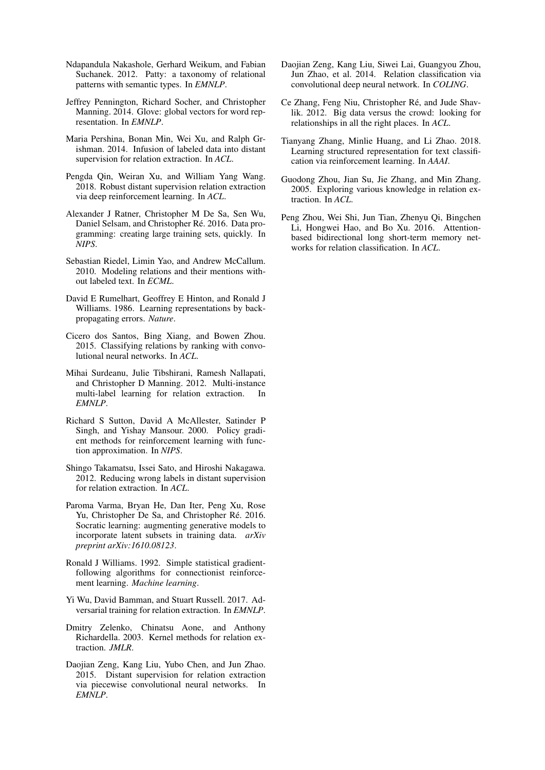- <span id="page-9-13"></span>Ndapandula Nakashole, Gerhard Weikum, and Fabian Suchanek. 2012. Patty: a taxonomy of relational patterns with semantic types. In *EMNLP*.
- <span id="page-9-20"></span>Jeffrey Pennington, Richard Socher, and Christopher Manning. 2014. Glove: global vectors for word representation. In *EMNLP*.
- <span id="page-9-7"></span>Maria Pershina, Bonan Min, Wei Xu, and Ralph Grishman. 2014. Infusion of labeled data into distant supervision for relation extraction. In *ACL*.
- <span id="page-9-11"></span>Pengda Qin, Weiran Xu, and William Yang Wang. 2018. Robust distant supervision relation extraction via deep reinforcement learning. In *ACL*.
- <span id="page-9-8"></span>Alexander J Ratner, Christopher M De Sa, Sen Wu, Daniel Selsam, and Christopher Ré. 2016. Data programming: creating large training sets, quickly. In *NIPS*.
- <span id="page-9-5"></span>Sebastian Riedel, Limin Yao, and Andrew McCallum. 2010. Modeling relations and their mentions without labeled text. In *ECML*.
- <span id="page-9-17"></span>David E Rumelhart, Geoffrey E Hinton, and Ronald J Williams. 1986. Learning representations by backpropagating errors. *Nature*.
- <span id="page-9-3"></span>Cicero dos Santos, Bing Xiang, and Bowen Zhou. 2015. Classifying relations by ranking with convolutional neural networks. In *ACL*.
- <span id="page-9-9"></span>Mihai Surdeanu, Julie Tibshirani, Ramesh Nallapati, and Christopher D Manning. 2012. Multi-instance multi-label learning for relation extraction. In *EMNLP*.
- <span id="page-9-16"></span>Richard S Sutton, David A McAllester, Satinder P Singh, and Yishay Mansour. 2000. Policy gradient methods for reinforcement learning with function approximation. In *NIPS*.
- <span id="page-9-14"></span>Shingo Takamatsu, Issei Sato, and Hiroshi Nakagawa. 2012. Reducing wrong labels in distant supervision for relation extraction. In *ACL*.
- <span id="page-9-18"></span>Paroma Varma, Bryan He, Dan Iter, Peng Xu, Rose Yu, Christopher De Sa, and Christopher Ré. 2016. Socratic learning: augmenting generative models to incorporate latent subsets in training data. *arXiv preprint arXiv:1610.08123*.
- <span id="page-9-15"></span>Ronald J Williams. 1992. Simple statistical gradientfollowing algorithms for connectionist reinforcement learning. *Machine learning*.
- <span id="page-9-10"></span>Yi Wu, David Bamman, and Stuart Russell. 2017. Adversarial training for relation extraction. In *EMNLP*.
- <span id="page-9-0"></span>Dmitry Zelenko, Chinatsu Aone, and Anthony Richardella. 2003. Kernel methods for relation extraction. *JMLR*.
- <span id="page-9-4"></span>Daojian Zeng, Kang Liu, Yubo Chen, and Jun Zhao. 2015. Distant supervision for relation extraction via piecewise convolutional neural networks. In *EMNLP*.
- <span id="page-9-2"></span>Daojian Zeng, Kang Liu, Siwei Lai, Guangyou Zhou, Jun Zhao, et al. 2014. Relation classification via convolutional deep neural network. In *COLING*.
- <span id="page-9-6"></span>Ce Zhang, Feng Niu, Christopher Ré, and Jude Shavlik. 2012. Big data versus the crowd: looking for relationships in all the right places. In *ACL*.
- <span id="page-9-12"></span>Tianyang Zhang, Minlie Huang, and Li Zhao. 2018. Learning structured representation for text classification via reinforcement learning. In *AAAI*.
- <span id="page-9-1"></span>Guodong Zhou, Jian Su, Jie Zhang, and Min Zhang. 2005. Exploring various knowledge in relation extraction. In *ACL*.
- <span id="page-9-19"></span>Peng Zhou, Wei Shi, Jun Tian, Zhenyu Qi, Bingchen Li, Hongwei Hao, and Bo Xu. 2016. Attentionbased bidirectional long short-term memory networks for relation classification. In *ACL*.